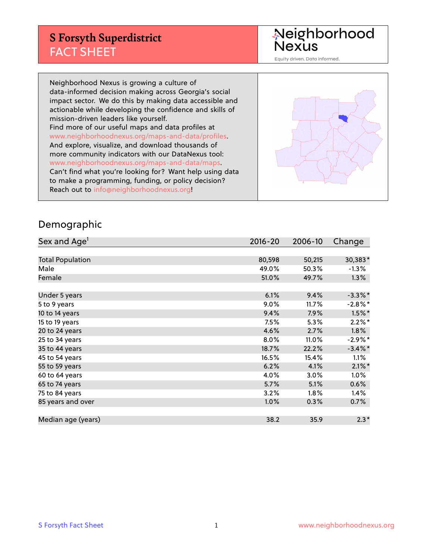## **S Forsyth Superdistrict** FACT SHEET

Neighborhood<br>Nexus

Equity driven. Data informed.

Neighborhood Nexus is growing a culture of data-informed decision making across Georgia's social impact sector. We do this by making data accessible and actionable while developing the confidence and skills of mission-driven leaders like yourself. Find more of our useful maps and data profiles at www.neighborhoodnexus.org/maps-and-data/profiles. And explore, visualize, and download thousands of more community indicators with our DataNexus tool: www.neighborhoodnexus.org/maps-and-data/maps. Can't find what you're looking for? Want help using data to make a programming, funding, or policy decision? Reach out to [info@neighborhoodnexus.org!](mailto:info@neighborhoodnexus.org)



#### Demographic

| Sex and Age <sup>1</sup> | $2016 - 20$ | 2006-10 | Change     |
|--------------------------|-------------|---------|------------|
|                          |             |         |            |
| <b>Total Population</b>  | 80,598      | 50,215  | 30,383*    |
| Male                     | 49.0%       | 50.3%   | $-1.3\%$   |
| Female                   | 51.0%       | 49.7%   | $1.3\%$    |
|                          |             |         |            |
| Under 5 years            | 6.1%        | 9.4%    | $-3.3\%$ * |
| 5 to 9 years             | 9.0%        | 11.7%   | $-2.8\%$ * |
| 10 to 14 years           | 9.4%        | 7.9%    | $1.5\%$ *  |
| 15 to 19 years           | 7.5%        | 5.3%    | $2.2\%$ *  |
| 20 to 24 years           | 4.6%        | 2.7%    | 1.8%       |
| 25 to 34 years           | 8.0%        | 11.0%   | $-2.9%$ *  |
| 35 to 44 years           | 18.7%       | 22.2%   | $-3.4\%$ * |
| 45 to 54 years           | 16.5%       | 15.4%   | 1.1%       |
| 55 to 59 years           | 6.2%        | 4.1%    | $2.1\%$ *  |
| 60 to 64 years           | 4.0%        | 3.0%    | 1.0%       |
| 65 to 74 years           | 5.7%        | 5.1%    | 0.6%       |
| 75 to 84 years           | 3.2%        | $1.8\%$ | 1.4%       |
| 85 years and over        | 1.0%        | 0.3%    | $0.7\%$    |
|                          |             |         |            |
| Median age (years)       | 38.2        | 35.9    | $2.3*$     |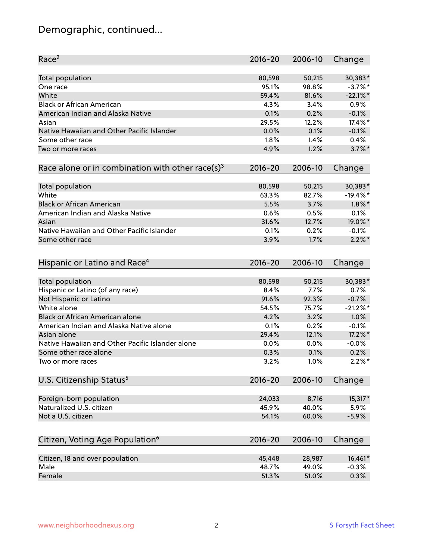# Demographic, continued...

| Race <sup>2</sup>                                            | $2016 - 20$ | 2006-10 | Change      |
|--------------------------------------------------------------|-------------|---------|-------------|
| <b>Total population</b>                                      | 80,598      | 50,215  | 30,383*     |
| One race                                                     | 95.1%       | 98.8%   | $-3.7%$ *   |
| White                                                        | 59.4%       | 81.6%   | $-22.1\%$ * |
| <b>Black or African American</b>                             | 4.3%        | 3.4%    | 0.9%        |
| American Indian and Alaska Native                            | 0.1%        | 0.2%    | $-0.1%$     |
| Asian                                                        | 29.5%       | 12.2%   | 17.4%*      |
| Native Hawaiian and Other Pacific Islander                   | 0.0%        | 0.1%    | $-0.1%$     |
| Some other race                                              | 1.8%        | 1.4%    | 0.4%        |
| Two or more races                                            | 4.9%        | 1.2%    | $3.7\%$ *   |
| Race alone or in combination with other race(s) <sup>3</sup> | $2016 - 20$ | 2006-10 | Change      |
| Total population                                             | 80,598      | 50,215  | 30,383*     |
| White                                                        | 63.3%       | 82.7%   | $-19.4%$ *  |
| <b>Black or African American</b>                             | 5.5%        | 3.7%    | $1.8\%$ *   |
| American Indian and Alaska Native                            | 0.6%        | 0.5%    | 0.1%        |
| Asian                                                        | 31.6%       | 12.7%   | 19.0%*      |
| Native Hawaiian and Other Pacific Islander                   | 0.1%        | 0.2%    | $-0.1%$     |
| Some other race                                              | 3.9%        | 1.7%    | $2.2\%$ *   |
| Hispanic or Latino and Race <sup>4</sup>                     | $2016 - 20$ | 2006-10 | Change      |
| Total population                                             | 80,598      | 50,215  | 30,383*     |
| Hispanic or Latino (of any race)                             | 8.4%        | 7.7%    | 0.7%        |
| Not Hispanic or Latino                                       | 91.6%       | 92.3%   | $-0.7%$     |
| White alone                                                  | 54.5%       | 75.7%   | $-21.2%$    |
| <b>Black or African American alone</b>                       | 4.2%        | 3.2%    | 1.0%        |
| American Indian and Alaska Native alone                      | 0.1%        | 0.2%    | $-0.1%$     |
| Asian alone                                                  | 29.4%       | 12.1%   | 17.2%*      |
| Native Hawaiian and Other Pacific Islander alone             | 0.0%        | 0.0%    | $-0.0%$     |
| Some other race alone                                        | 0.3%        | 0.1%    | 0.2%        |
| Two or more races                                            | 3.2%        | 1.0%    | $2.2\%$ *   |
| U.S. Citizenship Status <sup>5</sup>                         | $2016 - 20$ | 2006-10 | Change      |
| Foreign-born population                                      | 24,033      | 8,716   | 15,317*     |
| Naturalized U.S. citizen                                     | 45.9%       | 40.0%   | 5.9%        |
| Not a U.S. citizen                                           | 54.1%       | 60.0%   | $-5.9%$     |
|                                                              |             |         |             |
| Citizen, Voting Age Population <sup>6</sup>                  | $2016 - 20$ | 2006-10 | Change      |
| Citizen, 18 and over population                              | 45,448      | 28,987  | 16,461*     |
| Male                                                         | 48.7%       | 49.0%   | $-0.3%$     |
| Female                                                       | 51.3%       | 51.0%   | 0.3%        |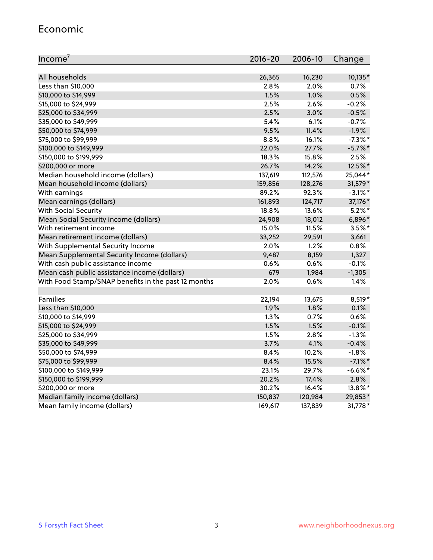#### Economic

| Income <sup>7</sup>                                 | $2016 - 20$ | 2006-10 | Change     |
|-----------------------------------------------------|-------------|---------|------------|
|                                                     |             |         |            |
| All households                                      | 26,365      | 16,230  | 10,135*    |
| Less than \$10,000                                  | 2.8%        | 2.0%    | 0.7%       |
| \$10,000 to \$14,999                                | 1.5%        | 1.0%    | 0.5%       |
| \$15,000 to \$24,999                                | 2.5%        | 2.6%    | $-0.2%$    |
| \$25,000 to \$34,999                                | 2.5%        | 3.0%    | $-0.5%$    |
| \$35,000 to \$49,999                                | 5.4%        | 6.1%    | $-0.7%$    |
| \$50,000 to \$74,999                                | 9.5%        | 11.4%   | $-1.9%$    |
| \$75,000 to \$99,999                                | 8.8%        | 16.1%   | $-7.3\%$ * |
| \$100,000 to \$149,999                              | 22.0%       | 27.7%   | $-5.7\%$ * |
| \$150,000 to \$199,999                              | 18.3%       | 15.8%   | 2.5%       |
| \$200,000 or more                                   | 26.7%       | 14.2%   | 12.5%*     |
| Median household income (dollars)                   | 137,619     | 112,576 | 25,044*    |
| Mean household income (dollars)                     | 159,856     | 128,276 | 31,579*    |
| With earnings                                       | 89.2%       | 92.3%   | $-3.1\%$ * |
| Mean earnings (dollars)                             | 161,893     | 124,717 | 37,176*    |
| <b>With Social Security</b>                         | 18.8%       | 13.6%   | $5.2\%$ *  |
| Mean Social Security income (dollars)               | 24,908      | 18,012  | 6,896*     |
| With retirement income                              | 15.0%       | 11.5%   | $3.5\%$ *  |
| Mean retirement income (dollars)                    | 33,252      | 29,591  | 3,661      |
| With Supplemental Security Income                   | $2.0\%$     | 1.2%    | 0.8%       |
| Mean Supplemental Security Income (dollars)         | 9,487       | 8,159   | 1,327      |
| With cash public assistance income                  | 0.6%        | 0.6%    | $-0.1%$    |
| Mean cash public assistance income (dollars)        | 679         | 1,984   | $-1,305$   |
| With Food Stamp/SNAP benefits in the past 12 months | 2.0%        | 0.6%    | 1.4%       |
|                                                     |             |         |            |
| Families                                            | 22,194      | 13,675  | 8,519*     |
| Less than \$10,000                                  | 1.9%        | 1.8%    | 0.1%       |
| \$10,000 to \$14,999                                | 1.3%        | 0.7%    | 0.6%       |
| \$15,000 to \$24,999                                | 1.5%        | 1.5%    | $-0.1%$    |
| \$25,000 to \$34,999                                | 1.5%        | 2.8%    | $-1.3%$    |
| \$35,000 to \$49,999                                | 3.7%        | 4.1%    | $-0.4%$    |
| \$50,000 to \$74,999                                | 8.4%        | 10.2%   | $-1.8%$    |
| \$75,000 to \$99,999                                | 8.4%        | 15.5%   | $-7.1\%$ * |
| \$100,000 to \$149,999                              | 23.1%       | 29.7%   | $-6.6%$ *  |
| \$150,000 to \$199,999                              | 20.2%       | 17.4%   | 2.8%       |
| \$200,000 or more                                   | 30.2%       | 16.4%   | 13.8%*     |
| Median family income (dollars)                      | 150,837     | 120,984 | 29,853*    |
| Mean family income (dollars)                        | 169,617     | 137,839 | 31,778*    |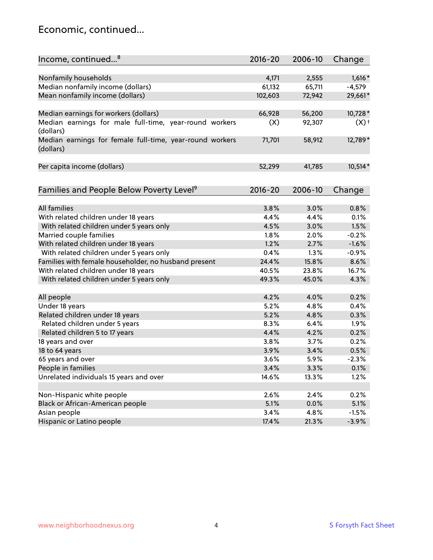#### Economic, continued...

| Income, continued <sup>8</sup>                                        | $2016 - 20$ | 2006-10 | Change   |
|-----------------------------------------------------------------------|-------------|---------|----------|
|                                                                       |             |         |          |
| Nonfamily households                                                  | 4,171       | 2,555   | $1,616*$ |
| Median nonfamily income (dollars)                                     | 61,132      | 65,711  | $-4,579$ |
| Mean nonfamily income (dollars)                                       | 102,603     | 72,942  | 29,661*  |
| Median earnings for workers (dollars)                                 | 66,928      | 56,200  | 10,728*  |
| Median earnings for male full-time, year-round workers                | (X)         | 92,307  | $(X)$ +  |
| (dollars)                                                             |             |         |          |
| Median earnings for female full-time, year-round workers<br>(dollars) | 71,701      | 58,912  | 12,789*  |
| Per capita income (dollars)                                           | 52,299      | 41,785  | 10,514*  |
|                                                                       |             |         |          |
| Families and People Below Poverty Level <sup>9</sup>                  | $2016 - 20$ | 2006-10 | Change   |
|                                                                       |             |         |          |
| <b>All families</b>                                                   | 3.8%        | 3.0%    | 0.8%     |
| With related children under 18 years                                  | 4.4%        | 4.4%    | 0.1%     |
| With related children under 5 years only                              | 4.5%        | 3.0%    | 1.5%     |
| Married couple families                                               | 1.8%        | 2.0%    | $-0.2%$  |
| With related children under 18 years                                  | 1.2%        | 2.7%    | $-1.6%$  |
| With related children under 5 years only                              | 0.4%        | 1.3%    | $-0.9%$  |
| Families with female householder, no husband present                  | 24.4%       | 15.8%   | 8.6%     |
| With related children under 18 years                                  | 40.5%       | 23.8%   | 16.7%    |
| With related children under 5 years only                              | 49.3%       | 45.0%   | 4.3%     |
|                                                                       |             |         |          |
| All people                                                            | 4.2%        | 4.0%    | 0.2%     |
| Under 18 years                                                        | 5.2%        | 4.8%    | 0.4%     |
| Related children under 18 years                                       | 5.2%        | 4.8%    | 0.3%     |
| Related children under 5 years                                        | 8.3%        | 6.4%    | 1.9%     |
| Related children 5 to 17 years                                        | 4.4%        | 4.2%    | 0.2%     |
| 18 years and over                                                     | 3.8%        | 3.7%    | 0.2%     |
| 18 to 64 years                                                        | 3.9%        | 3.4%    | 0.5%     |
| 65 years and over                                                     | 3.6%        | 5.9%    | $-2.3%$  |
| People in families                                                    | 3.4%        | 3.3%    | 0.1%     |
| Unrelated individuals 15 years and over                               | 14.6%       | 13.3%   | 1.2%     |
|                                                                       |             |         |          |
| Non-Hispanic white people                                             | 2.6%        | 2.4%    | 0.2%     |
| Black or African-American people                                      | 5.1%        | 0.0%    | 5.1%     |
| Asian people                                                          | 3.4%        | 4.8%    | $-1.5%$  |
| Hispanic or Latino people                                             | 17.4%       | 21.3%   | $-3.9%$  |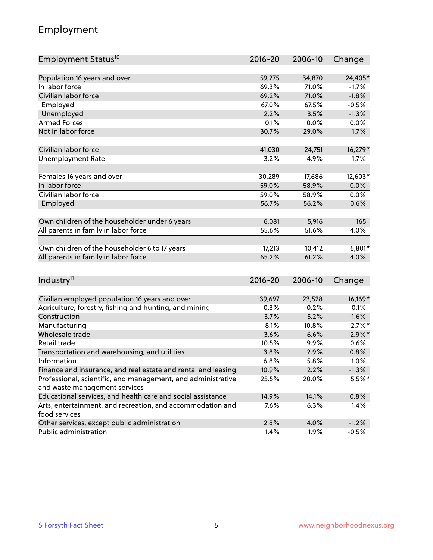## Employment

| Employment Status <sup>10</sup>                               | $2016 - 20$ | 2006-10 | Change     |
|---------------------------------------------------------------|-------------|---------|------------|
|                                                               |             |         |            |
| Population 16 years and over                                  | 59,275      | 34,870  | 24,405*    |
| In labor force                                                | 69.3%       | 71.0%   | $-1.7%$    |
| Civilian labor force                                          | 69.2%       | 71.0%   | $-1.8%$    |
| Employed                                                      | 67.0%       | 67.5%   | $-0.5%$    |
| Unemployed                                                    | 2.2%        | 3.5%    | $-1.3%$    |
| <b>Armed Forces</b>                                           | 0.1%        | 0.0%    | 0.0%       |
| Not in labor force                                            | 30.7%       | 29.0%   | 1.7%       |
|                                                               |             |         |            |
| Civilian labor force                                          | 41,030      | 24,751  | 16,279*    |
| <b>Unemployment Rate</b>                                      | 3.2%        | 4.9%    | $-1.7%$    |
| Females 16 years and over                                     | 30,289      | 17,686  | 12,603*    |
| In labor force                                                | 59.0%       | 58.9%   | 0.0%       |
| Civilian labor force                                          | 59.0%       | 58.9%   | 0.0%       |
| Employed                                                      | 56.7%       | 56.2%   | 0.6%       |
|                                                               |             |         |            |
| Own children of the householder under 6 years                 | 6,081       | 5,916   | 165        |
| All parents in family in labor force                          | 55.6%       | 51.6%   | 4.0%       |
|                                                               |             |         |            |
| Own children of the householder 6 to 17 years                 | 17,213      | 10,412  | $6,801*$   |
| All parents in family in labor force                          | 65.2%       | 61.2%   | 4.0%       |
|                                                               |             |         |            |
| Industry <sup>11</sup>                                        | $2016 - 20$ | 2006-10 | Change     |
| Civilian employed population 16 years and over                | 39,697      | 23,528  | 16,169*    |
| Agriculture, forestry, fishing and hunting, and mining        | 0.3%        | 0.2%    | 0.1%       |
| Construction                                                  | 3.7%        | 5.2%    | $-1.6%$    |
| Manufacturing                                                 | 8.1%        | 10.8%   | $-2.7%$ *  |
| Wholesale trade                                               | 3.6%        | 6.6%    | $-2.9\%$ * |
| Retail trade                                                  | 10.5%       | 9.9%    | 0.6%       |
| Transportation and warehousing, and utilities                 | 3.8%        | 2.9%    | 0.8%       |
| Information                                                   | 6.8%        | 5.8%    | 1.0%       |
| Finance and insurance, and real estate and rental and leasing | 10.9%       | 12.2%   | $-1.3%$    |
| Professional, scientific, and management, and administrative  | 25.5%       | 20.0%   | 5.5%*      |
| and waste management services                                 |             |         |            |
| Educational services, and health care and social assistance   | 14.9%       | 14.1%   | 0.8%       |
| Arts, entertainment, and recreation, and accommodation and    | 7.6%        | 6.3%    | 1.4%       |
| food services                                                 |             |         |            |
| Other services, except public administration                  | 2.8%        | 4.0%    | $-1.2%$    |
| Public administration                                         | 1.4%        | 1.9%    | $-0.5%$    |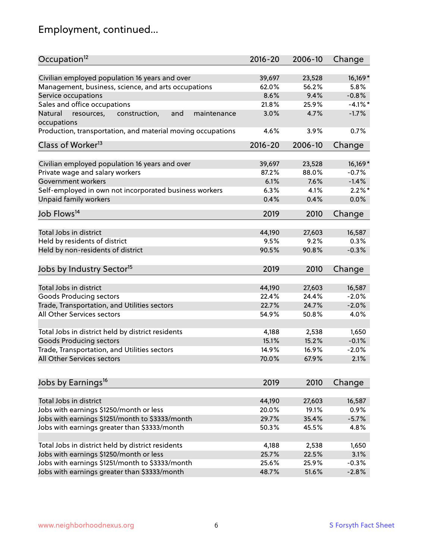# Employment, continued...

| Occupation <sup>12</sup>                                                    | $2016 - 20$ | 2006-10 | Change     |
|-----------------------------------------------------------------------------|-------------|---------|------------|
| Civilian employed population 16 years and over                              | 39,697      | 23,528  | 16,169*    |
| Management, business, science, and arts occupations                         | 62.0%       | 56.2%   | 5.8%       |
| Service occupations                                                         | 8.6%        | 9.4%    | $-0.8%$    |
| Sales and office occupations                                                | 21.8%       | 25.9%   | $-4.1\%$ * |
|                                                                             |             | 4.7%    |            |
| Natural<br>and<br>resources,<br>construction,<br>maintenance<br>occupations | 3.0%        |         | $-1.7%$    |
| Production, transportation, and material moving occupations                 | 4.6%        | 3.9%    | 0.7%       |
| Class of Worker <sup>13</sup>                                               | $2016 - 20$ | 2006-10 | Change     |
|                                                                             |             |         |            |
| Civilian employed population 16 years and over                              | 39,697      | 23,528  | 16,169*    |
| Private wage and salary workers                                             | 87.2%       | 88.0%   | $-0.7%$    |
| Government workers                                                          | 6.1%        | 7.6%    | $-1.4%$    |
| Self-employed in own not incorporated business workers                      | 6.3%        | 4.1%    | $2.2\%$ *  |
| Unpaid family workers                                                       | 0.4%        | 0.4%    | 0.0%       |
| Job Flows <sup>14</sup>                                                     | 2019        | 2010    | Change     |
|                                                                             |             |         |            |
| Total Jobs in district                                                      | 44,190      | 27,603  | 16,587     |
| Held by residents of district                                               | 9.5%        | 9.2%    | 0.3%       |
| Held by non-residents of district                                           | 90.5%       | 90.8%   | $-0.3%$    |
| Jobs by Industry Sector <sup>15</sup>                                       | 2019        | 2010    | Change     |
|                                                                             |             |         |            |
| Total Jobs in district                                                      | 44,190      | 27,603  | 16,587     |
| Goods Producing sectors                                                     | 22.4%       | 24.4%   | $-2.0%$    |
| Trade, Transportation, and Utilities sectors                                | 22.7%       | 24.7%   | $-2.0%$    |
| All Other Services sectors                                                  | 54.9%       | 50.8%   | 4.0%       |
| Total Jobs in district held by district residents                           | 4,188       | 2,538   | 1,650      |
| <b>Goods Producing sectors</b>                                              | 15.1%       | 15.2%   | $-0.1%$    |
| Trade, Transportation, and Utilities sectors                                | 14.9%       | 16.9%   | $-2.0%$    |
| All Other Services sectors                                                  | 70.0%       | 67.9%   | 2.1%       |
|                                                                             |             |         |            |
| Jobs by Earnings <sup>16</sup>                                              | 2019        | 2010    | Change     |
|                                                                             |             |         |            |
| Total Jobs in district                                                      | 44,190      | 27,603  | 16,587     |
| Jobs with earnings \$1250/month or less                                     | 20.0%       | 19.1%   | 0.9%       |
| Jobs with earnings \$1251/month to \$3333/month                             | 29.7%       | 35.4%   | $-5.7%$    |
| Jobs with earnings greater than \$3333/month                                | 50.3%       | 45.5%   | 4.8%       |
| Total Jobs in district held by district residents                           | 4,188       | 2,538   | 1,650      |
| Jobs with earnings \$1250/month or less                                     | 25.7%       | 22.5%   | 3.1%       |
| Jobs with earnings \$1251/month to \$3333/month                             | 25.6%       | 25.9%   | $-0.3%$    |
| Jobs with earnings greater than \$3333/month                                | 48.7%       | 51.6%   | $-2.8%$    |
|                                                                             |             |         |            |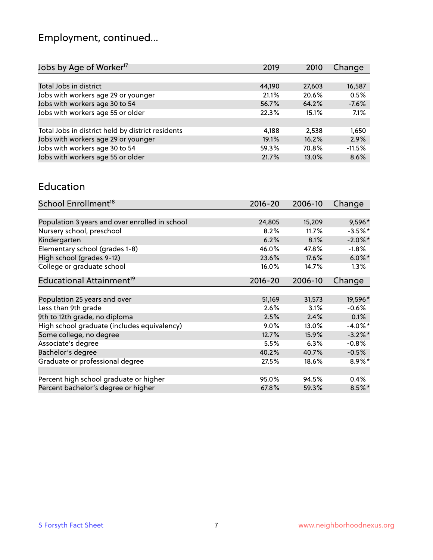# Employment, continued...

| Jobs by Age of Worker <sup>17</sup>               | 2019   | 2010   | Change   |
|---------------------------------------------------|--------|--------|----------|
|                                                   |        |        |          |
| Total Jobs in district                            | 44,190 | 27,603 | 16,587   |
| Jobs with workers age 29 or younger               | 21.1%  | 20.6%  | 0.5%     |
| Jobs with workers age 30 to 54                    | 56.7%  | 64.2%  | $-7.6%$  |
| Jobs with workers age 55 or older                 | 22.3%  | 15.1%  | 7.1%     |
|                                                   |        |        |          |
| Total Jobs in district held by district residents | 4,188  | 2,538  | 1,650    |
| Jobs with workers age 29 or younger               | 19.1%  | 16.2%  | 2.9%     |
| Jobs with workers age 30 to 54                    | 59.3%  | 70.8%  | $-11.5%$ |
| Jobs with workers age 55 or older                 | 21.7%  | 13.0%  | 8.6%     |
|                                                   |        |        |          |

#### Education

| School Enrollment <sup>18</sup>                | $2016 - 20$ | 2006-10 | Change     |
|------------------------------------------------|-------------|---------|------------|
|                                                |             |         |            |
| Population 3 years and over enrolled in school | 24,805      | 15,209  | 9,596*     |
| Nursery school, preschool                      | 8.2%        | 11.7%   | $-3.5%$ *  |
| Kindergarten                                   | 6.2%        | 8.1%    | $-2.0\%$ * |
| Elementary school (grades 1-8)                 | 46.0%       | 47.8%   | $-1.8\%$   |
| High school (grades 9-12)                      | 23.6%       | 17.6%   | $6.0\%$ *  |
| College or graduate school                     | 16.0%       | 14.7%   | 1.3%       |
| Educational Attainment <sup>19</sup>           | $2016 - 20$ | 2006-10 | Change     |
|                                                |             |         |            |
| Population 25 years and over                   | 51,169      | 31,573  | 19,596*    |
| Less than 9th grade                            | 2.6%        | 3.1%    | $-0.6%$    |
| 9th to 12th grade, no diploma                  | 2.5%        | 2.4%    | 0.1%       |
| High school graduate (includes equivalency)    | 9.0%        | 13.0%   | $-4.0\%$ * |
| Some college, no degree                        | 12.7%       | 15.9%   | $-3.2\%$ * |
| Associate's degree                             | 5.5%        | 6.3%    | $-0.8%$    |
| Bachelor's degree                              | 40.2%       | 40.7%   | $-0.5%$    |
| Graduate or professional degree                | 27.5%       | 18.6%   | $8.9\%$ *  |
|                                                |             |         |            |
| Percent high school graduate or higher         | 95.0%       | 94.5%   | $0.4\%$    |
| Percent bachelor's degree or higher            | 67.8%       | 59.3%   | $8.5\%$ *  |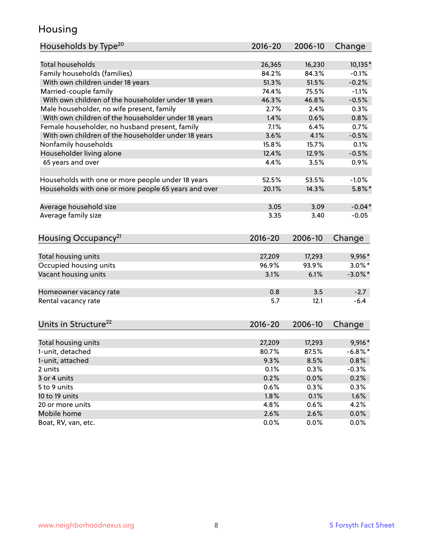## Housing

| Households by Type <sup>20</sup>                     | 2016-20     | 2006-10 | Change     |
|------------------------------------------------------|-------------|---------|------------|
|                                                      |             |         |            |
| <b>Total households</b>                              | 26,365      | 16,230  | 10,135*    |
| Family households (families)                         | 84.2%       | 84.3%   | $-0.1%$    |
| With own children under 18 years                     | 51.3%       | 51.5%   | $-0.2%$    |
| Married-couple family                                | 74.4%       | 75.5%   | $-1.1%$    |
| With own children of the householder under 18 years  | 46.3%       | 46.8%   | $-0.5%$    |
| Male householder, no wife present, family            | 2.7%        | 2.4%    | 0.3%       |
| With own children of the householder under 18 years  | 1.4%        | 0.6%    | 0.8%       |
| Female householder, no husband present, family       | 7.1%        | 6.4%    | 0.7%       |
| With own children of the householder under 18 years  | 3.6%        | 4.1%    | $-0.5%$    |
| Nonfamily households                                 | 15.8%       | 15.7%   | 0.1%       |
| Householder living alone                             | 12.4%       | 12.9%   | $-0.5%$    |
| 65 years and over                                    | 4.4%        | 3.5%    | 0.9%       |
|                                                      |             |         |            |
| Households with one or more people under 18 years    | 52.5%       | 53.5%   | $-1.0%$    |
| Households with one or more people 65 years and over | 20.1%       | 14.3%   | $5.8\%$ *  |
|                                                      |             |         |            |
| Average household size                               | 3.05        | 3.09    | $-0.04*$   |
| Average family size                                  | 3.35        | 3.40    | $-0.05$    |
| Housing Occupancy <sup>21</sup>                      | 2016-20     | 2006-10 | Change     |
|                                                      |             |         |            |
| Total housing units                                  | 27,209      | 17,293  | 9,916*     |
| Occupied housing units                               | 96.9%       | 93.9%   | $3.0\%$ *  |
| Vacant housing units                                 | 3.1%        | 6.1%    | $-3.0\%$ * |
|                                                      | 0.8         | 3.5     | $-2.7$     |
| Homeowner vacancy rate                               |             |         |            |
| Rental vacancy rate                                  | 5.7         | 12.1    | $-6.4$     |
| Units in Structure <sup>22</sup>                     | $2016 - 20$ | 2006-10 | Change     |
|                                                      |             |         |            |
| Total housing units                                  | 27,209      | 17,293  | $9,916*$   |
| 1-unit, detached                                     | 80.7%       | 87.5%   | $-6.8\%$ * |
| 1-unit, attached                                     | 9.3%        | 8.5%    | 0.8%       |
| 2 units                                              | 0.1%        | 0.3%    | $-0.3%$    |
| 3 or 4 units                                         | 0.2%        | 0.0%    | 0.2%       |
| 5 to 9 units                                         | 0.6%        | 0.3%    | 0.3%       |
| 10 to 19 units                                       | 1.8%        | 0.1%    | 1.6%       |
| 20 or more units                                     | 4.8%        | 0.6%    | 4.2%       |
| Mobile home                                          | 2.6%        | 2.6%    | $0.0\%$    |
| Boat, RV, van, etc.                                  | 0.0%        | 0.0%    | 0.0%       |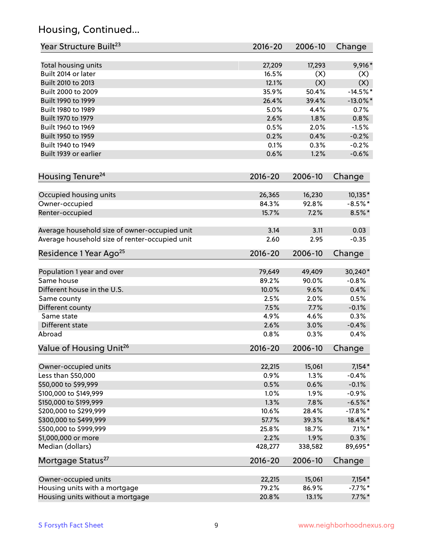## Housing, Continued...

| Year Structure Built <sup>23</sup>             | 2016-20     | 2006-10 | Change      |
|------------------------------------------------|-------------|---------|-------------|
| Total housing units                            | 27,209      | 17,293  | $9,916*$    |
| Built 2014 or later                            | 16.5%       | (X)     | (X)         |
| Built 2010 to 2013                             | 12.1%       | (X)     | (X)         |
| Built 2000 to 2009                             | 35.9%       | 50.4%   | $-14.5%$ *  |
| Built 1990 to 1999                             | 26.4%       | 39.4%   | $-13.0\%$ * |
| Built 1980 to 1989                             | 5.0%        | 4.4%    | 0.7%        |
| Built 1970 to 1979                             | 2.6%        | 1.8%    | 0.8%        |
| Built 1960 to 1969                             | 0.5%        | 2.0%    | $-1.5%$     |
| Built 1950 to 1959                             | 0.2%        | 0.4%    | $-0.2%$     |
| Built 1940 to 1949                             | 0.1%        | 0.3%    | $-0.2%$     |
| Built 1939 or earlier                          | 0.6%        | 1.2%    | $-0.6%$     |
| Housing Tenure <sup>24</sup>                   | $2016 - 20$ | 2006-10 | Change      |
|                                                |             |         |             |
| Occupied housing units                         | 26,365      | 16,230  | 10,135*     |
| Owner-occupied                                 | 84.3%       | 92.8%   | $-8.5%$ *   |
| Renter-occupied                                | 15.7%       | 7.2%    | $8.5\%$ *   |
| Average household size of owner-occupied unit  | 3.14        | 3.11    | 0.03        |
| Average household size of renter-occupied unit | 2.60        | 2.95    | $-0.35$     |
| Residence 1 Year Ago <sup>25</sup>             | $2016 - 20$ | 2006-10 | Change      |
|                                                |             |         |             |
| Population 1 year and over                     | 79,649      | 49,409  | 30,240*     |
| Same house                                     | 89.2%       | 90.0%   | $-0.8%$     |
| Different house in the U.S.                    | 10.0%       | 9.6%    | 0.4%        |
| Same county                                    | 2.5%        | 2.0%    | 0.5%        |
| Different county                               | 7.5%        | 7.7%    | $-0.1%$     |
| Same state                                     | 4.9%        | 4.6%    | 0.3%        |
| Different state                                | 2.6%        | 3.0%    | $-0.4%$     |
| Abroad                                         | 0.8%        | 0.3%    | 0.4%        |
| Value of Housing Unit <sup>26</sup>            | $2016 - 20$ | 2006-10 | Change      |
| Owner-occupied units                           | 22,215      | 15,061  | $7,154*$    |
| Less than \$50,000                             | 0.9%        | 1.3%    | $-0.4%$     |
| \$50,000 to \$99,999                           | 0.5%        | 0.6%    | $-0.1%$     |
| \$100,000 to \$149,999                         | 1.0%        | 1.9%    | $-0.9%$     |
| \$150,000 to \$199,999                         | 1.3%        | 7.8%    | $-6.5%$ *   |
| \$200,000 to \$299,999                         | 10.6%       | 28.4%   | $-17.8\%$ * |
| \$300,000 to \$499,999                         | 57.7%       | 39.3%   | 18.4%*      |
| \$500,000 to \$999,999                         | 25.8%       | 18.7%   | $7.1\%$ *   |
| \$1,000,000 or more                            | 2.2%        | 1.9%    | 0.3%        |
| Median (dollars)                               | 428,277     | 338,582 | 89,695*     |
| Mortgage Status <sup>27</sup>                  | $2016 - 20$ | 2006-10 | Change      |
| Owner-occupied units                           | 22,215      | 15,061  | $7,154*$    |
| Housing units with a mortgage                  | 79.2%       | 86.9%   | $-7.7%$ *   |
| Housing units without a mortgage               | 20.8%       | 13.1%   | $7.7\%$ *   |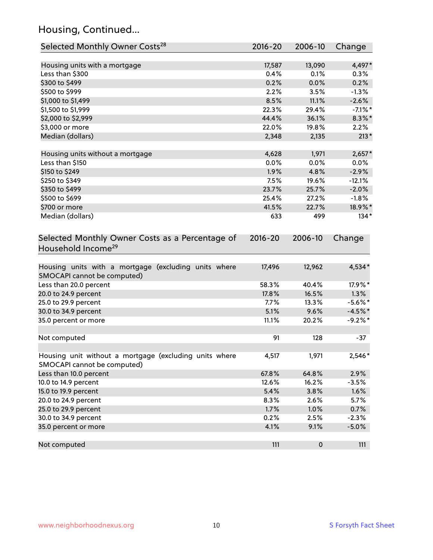## Housing, Continued...

| Selected Monthly Owner Costs <sup>28</sup>                                            | 2016-20     | 2006-10   | Change     |
|---------------------------------------------------------------------------------------|-------------|-----------|------------|
| Housing units with a mortgage                                                         | 17,587      | 13,090    | 4,497*     |
| Less than \$300                                                                       | 0.4%        | 0.1%      | 0.3%       |
| \$300 to \$499                                                                        | 0.2%        | 0.0%      | 0.2%       |
| \$500 to \$999                                                                        | 2.2%        | 3.5%      | $-1.3%$    |
| \$1,000 to \$1,499                                                                    | 8.5%        | 11.1%     | $-2.6%$    |
| \$1,500 to \$1,999                                                                    | 22.3%       | 29.4%     | $-7.1\%$ * |
| \$2,000 to \$2,999                                                                    | 44.4%       | 36.1%     | $8.3\%$ *  |
| \$3,000 or more                                                                       | 22.0%       | 19.8%     | 2.2%       |
| Median (dollars)                                                                      | 2,348       | 2,135     | $213*$     |
| Housing units without a mortgage                                                      | 4,628       | 1,971     | $2,657*$   |
| Less than \$150                                                                       | 0.0%        | 0.0%      | 0.0%       |
| \$150 to \$249                                                                        | 1.9%        | 4.8%      | $-2.9%$    |
| \$250 to \$349                                                                        | 7.5%        | 19.6%     | $-12.1%$   |
| \$350 to \$499                                                                        | 23.7%       | 25.7%     | $-2.0%$    |
| \$500 to \$699                                                                        | 25.4%       | 27.2%     | $-1.8%$    |
| \$700 or more                                                                         | 41.5%       | 22.7%     | 18.9%*     |
| Median (dollars)                                                                      | 633         | 499       | $134*$     |
| Selected Monthly Owner Costs as a Percentage of<br>Household Income <sup>29</sup>     | $2016 - 20$ | 2006-10   | Change     |
| Housing units with a mortgage (excluding units where<br>SMOCAPI cannot be computed)   | 17,496      | 12,962    | 4,534*     |
| Less than 20.0 percent                                                                | 58.3%       | 40.4%     | 17.9%*     |
| 20.0 to 24.9 percent                                                                  | 17.8%       | 16.5%     | 1.3%       |
| 25.0 to 29.9 percent                                                                  | 7.7%        | 13.3%     | $-5.6\%$ * |
| 30.0 to 34.9 percent                                                                  | 5.1%        | 9.6%      | $-4.5%$ *  |
| 35.0 percent or more                                                                  | 11.1%       | 20.2%     | $-9.2%$ *  |
| Not computed                                                                          | 91          | 128       | $-37$      |
| Housing unit without a mortgage (excluding units where<br>SMOCAPI cannot be computed) | 4,517       | 1,971     | 2,546*     |
| Less than 10.0 percent                                                                | 67.8%       | 64.8%     | 2.9%       |
| 10.0 to 14.9 percent                                                                  | 12.6%       | 16.2%     | $-3.5%$    |
| 15.0 to 19.9 percent                                                                  | 5.4%        | 3.8%      | 1.6%       |
| 20.0 to 24.9 percent                                                                  | 8.3%        | 2.6%      | 5.7%       |
| 25.0 to 29.9 percent                                                                  | 1.7%        | 1.0%      | 0.7%       |
| 30.0 to 34.9 percent                                                                  | 0.2%        | 2.5%      | $-2.3%$    |
| 35.0 percent or more                                                                  | 4.1%        | 9.1%      | $-5.0%$    |
| Not computed                                                                          | 111         | $\pmb{0}$ | 111        |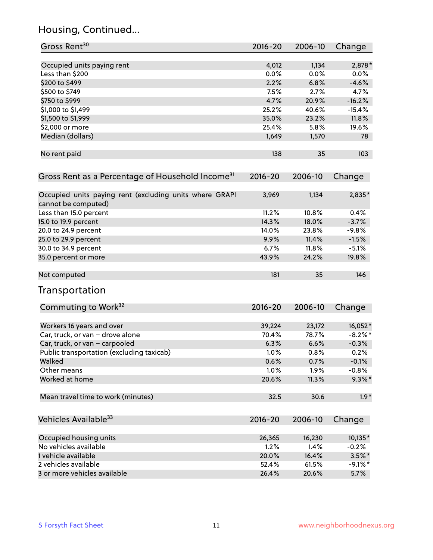## Housing, Continued...

| Gross Rent <sup>30</sup>                                     | 2016-20 | 2006-10 | Change     |
|--------------------------------------------------------------|---------|---------|------------|
| Occupied units paying rent                                   | 4,012   | 1,134   | 2,878 *    |
| Less than \$200                                              | 0.0%    | 0.0%    | $0.0\%$    |
| \$200 to \$499                                               | 2.2%    | 6.8%    | $-4.6%$    |
| \$500 to \$749                                               | 7.5%    | 2.7%    | 4.7%       |
| \$750 to \$999                                               | 4.7%    | 20.9%   | $-16.2%$   |
| \$1,000 to \$1,499                                           | 25.2%   | 40.6%   | $-15.4%$   |
| \$1,500 to \$1,999                                           | 35.0%   | 23.2%   | 11.8%      |
| \$2,000 or more                                              | 25.4%   | 5.8%    | 19.6%      |
| Median (dollars)                                             | 1,649   | 1,570   | 78         |
| No rent paid                                                 | 138     | 35      | 103        |
| Gross Rent as a Percentage of Household Income <sup>31</sup> | 2016-20 | 2006-10 | Change     |
| Occupied units paying rent (excluding units where GRAPI      | 3,969   | 1,134   | 2,835*     |
| cannot be computed)<br>Less than 15.0 percent                | 11.2%   | 10.8%   | 0.4%       |
| 15.0 to 19.9 percent                                         | 14.3%   | 18.0%   | $-3.7%$    |
| 20.0 to 24.9 percent                                         | 14.0%   | 23.8%   | $-9.8%$    |
| 25.0 to 29.9 percent                                         | 9.9%    | 11.4%   | $-1.5%$    |
| 30.0 to 34.9 percent                                         | 6.7%    | 11.8%   | $-5.1%$    |
| 35.0 percent or more                                         | 43.9%   | 24.2%   | 19.8%      |
| Not computed                                                 | 181     | 35      | 146        |
| Transportation                                               |         |         |            |
| Commuting to Work <sup>32</sup>                              | 2016-20 | 2006-10 | Change     |
| Workers 16 years and over                                    | 39,224  | 23,172  | 16,052*    |
| Car, truck, or van - drove alone                             | 70.4%   | 78.7%   | $-8.2\%$ * |
| Car, truck, or van - carpooled                               | 6.3%    | 6.6%    | $-0.3%$    |
| Public transportation (excluding taxicab)                    | 1.0%    | 0.8%    | 0.2%       |
| Walked                                                       | 0.6%    | 0.7%    | $-0.1%$    |
| Other means                                                  | 1.0%    | 1.9%    | $-0.8%$    |
| Worked at home                                               | 20.6%   | 11.3%   | $9.3\%$ *  |
| Mean travel time to work (minutes)                           | 32.5    | 30.6    | $1.9*$     |
| Vehicles Available <sup>33</sup>                             | 2016-20 | 2006-10 | Change     |
| Occupied housing units                                       | 26,365  | 16,230  | 10,135*    |
| No vehicles available                                        | 1.2%    | 1.4%    | $-0.2%$    |
| 1 vehicle available                                          | 20.0%   | 16.4%   | $3.5\%$ *  |
| 2 vehicles available                                         | 52.4%   | 61.5%   | $-9.1\%$ * |
| 3 or more vehicles available                                 | 26.4%   | 20.6%   | 5.7%       |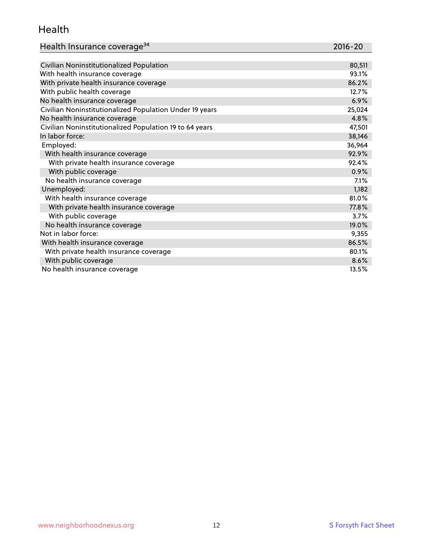#### Health

| Health Insurance coverage <sup>34</sup> | 2016-20 |
|-----------------------------------------|---------|
|-----------------------------------------|---------|

| Civilian Noninstitutionalized Population                | 80,511 |
|---------------------------------------------------------|--------|
| With health insurance coverage                          | 93.1%  |
| With private health insurance coverage                  | 86.2%  |
| With public health coverage                             | 12.7%  |
| No health insurance coverage                            | 6.9%   |
| Civilian Noninstitutionalized Population Under 19 years | 25,024 |
| No health insurance coverage                            | 4.8%   |
| Civilian Noninstitutionalized Population 19 to 64 years | 47,501 |
| In labor force:                                         | 38,146 |
| Employed:                                               | 36,964 |
| With health insurance coverage                          | 92.9%  |
| With private health insurance coverage                  | 92.4%  |
| With public coverage                                    | 0.9%   |
| No health insurance coverage                            | 7.1%   |
| Unemployed:                                             | 1,182  |
| With health insurance coverage                          | 81.0%  |
| With private health insurance coverage                  | 77.8%  |
| With public coverage                                    | 3.7%   |
| No health insurance coverage                            | 19.0%  |
| Not in labor force:                                     | 9,355  |
| With health insurance coverage                          | 86.5%  |
| With private health insurance coverage                  | 80.1%  |
| With public coverage                                    | 8.6%   |
| No health insurance coverage                            | 13.5%  |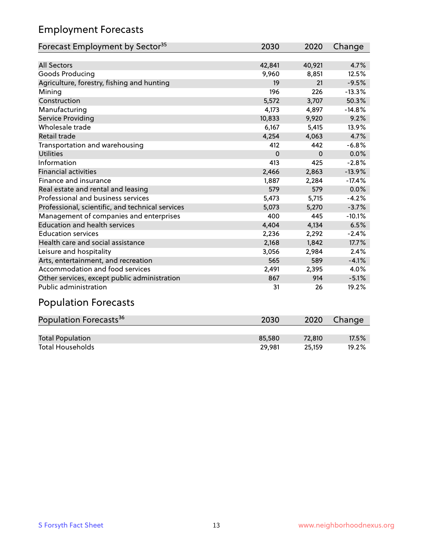## Employment Forecasts

| Forecast Employment by Sector <sup>35</sup>      | 2030     | 2020     | Change   |
|--------------------------------------------------|----------|----------|----------|
|                                                  |          |          |          |
| <b>All Sectors</b>                               | 42,841   | 40,921   | 4.7%     |
| Goods Producing                                  | 9,960    | 8,851    | 12.5%    |
| Agriculture, forestry, fishing and hunting       | 19       | 21       | $-9.5%$  |
| Mining                                           | 196      | 226      | $-13.3%$ |
| Construction                                     | 5,572    | 3,707    | 50.3%    |
| Manufacturing                                    | 4,173    | 4,897    | $-14.8%$ |
| Service Providing                                | 10,833   | 9,920    | 9.2%     |
| Wholesale trade                                  | 6,167    | 5,415    | 13.9%    |
| Retail trade                                     | 4,254    | 4,063    | 4.7%     |
| Transportation and warehousing                   | 412      | 442      | $-6.8%$  |
| <b>Utilities</b>                                 | $\Omega$ | $\Omega$ | 0.0%     |
| Information                                      | 413      | 425      | $-2.8%$  |
| <b>Financial activities</b>                      | 2,466    | 2,863    | $-13.9%$ |
| Finance and insurance                            | 1,887    | 2,284    | $-17.4%$ |
| Real estate and rental and leasing               | 579      | 579      | 0.0%     |
| Professional and business services               | 5,473    | 5,715    | $-4.2%$  |
| Professional, scientific, and technical services | 5,073    | 5,270    | $-3.7%$  |
| Management of companies and enterprises          | 400      | 445      | $-10.1%$ |
| <b>Education and health services</b>             | 4,404    | 4,134    | 6.5%     |
| <b>Education services</b>                        | 2,236    | 2,292    | $-2.4%$  |
| Health care and social assistance                | 2,168    | 1,842    | 17.7%    |
| Leisure and hospitality                          | 3,056    | 2,984    | 2.4%     |
| Arts, entertainment, and recreation              | 565      | 589      | $-4.1%$  |
| Accommodation and food services                  | 2,491    | 2,395    | 4.0%     |
| Other services, except public administration     | 867      | 914      | $-5.1%$  |
| Public administration                            | 31       | 26       | 19.2%    |

## Population Forecasts

| Population Forecasts <sup>36</sup> | 2030   | 2020   | Change   |
|------------------------------------|--------|--------|----------|
|                                    |        |        |          |
| <b>Total Population</b>            | 85.580 | 72.810 | $17.5\%$ |
| <b>Total Households</b>            | 29.981 | 25.159 | 19.2%    |